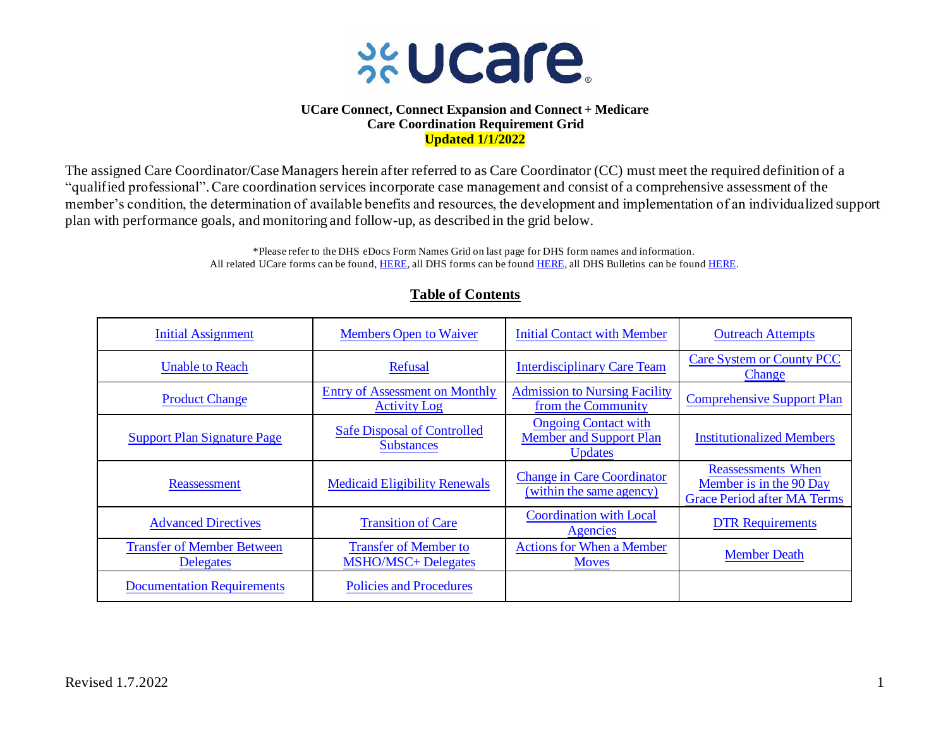

#### **UCare Connect, Connect Expansion and Connect + Medicare Care Coordination Requirement Grid Updated 1/1/2022**

The assigned Care Coordinator/Case Managers herein after referred to as Care Coordinator (CC) must meet the required definition of a "qualified professional". Care coordination services incorporate case management and consist of a comprehensive assessment of the member's condition, the determination of available benefits and resources, the development and implementation of an individualized support plan with performance goals, and monitoring and follow-up, as described in the grid below.

> \*Please refer to the DHS eDocs Form Names Grid on last page for DHS form names and information. All related UCare forms can be found[, HERE,](https://www.ucare.org/providers/Care-Coordinators/Pages/FormsMSHO.aspx) all DHS forms can be foun[d HERE,](http://mn.gov/dhs/general-public/publications-forms-resources/edocs/) all DHS Bulletins can be foun[d HERE.](http://mn.gov/dhs/general-public/publications-forms-resources/bulletins/)

| <b>Initial Assignment</b>                             | <b>Members Open to Waiver</b>                                | <b>Initial Contact with Member</b>                                              | <b>Outreach Attempts</b>                                                                   |
|-------------------------------------------------------|--------------------------------------------------------------|---------------------------------------------------------------------------------|--------------------------------------------------------------------------------------------|
| <b>Unable to Reach</b>                                | Refusal                                                      | <b>Interdisciplinary Care Team</b>                                              | <b>Care System or County PCC</b><br>Change                                                 |
| <b>Product Change</b>                                 | <b>Entry of Assessment on Monthly</b><br><b>Activity Log</b> | <b>Admission to Nursing Facility</b><br>from the Community                      | <b>Comprehensive Support Plan</b>                                                          |
| <b>Support Plan Signature Page</b>                    | <b>Safe Disposal of Controlled</b><br><b>Substances</b>      | <b>Ongoing Contact with</b><br><b>Member and Support Plan</b><br><b>Updates</b> | <b>Institutionalized Members</b>                                                           |
| Reassessment                                          | <b>Medicaid Eligibility Renewals</b>                         | <b>Change in Care Coordinator</b><br>(within the same agency)                   | <b>Reassessments When</b><br>Member is in the 90 Day<br><b>Grace Period after MA Terms</b> |
| <b>Advanced Directives</b>                            | <b>Transition of Care</b>                                    | <b>Coordination with Local</b><br>Agencies                                      | <b>DTR Requirements</b>                                                                    |
| <b>Transfer of Member Between</b><br><b>Delegates</b> | <b>Transfer of Member to</b><br><b>MSHO/MSC+ Delegates</b>   | <b>Actions for When a Member</b><br><b>Moves</b>                                | <b>Member Death</b>                                                                        |
| <b>Documentation Requirements</b>                     | <b>Policies and Procedures</b>                               |                                                                                 |                                                                                            |

#### **Table of Contents**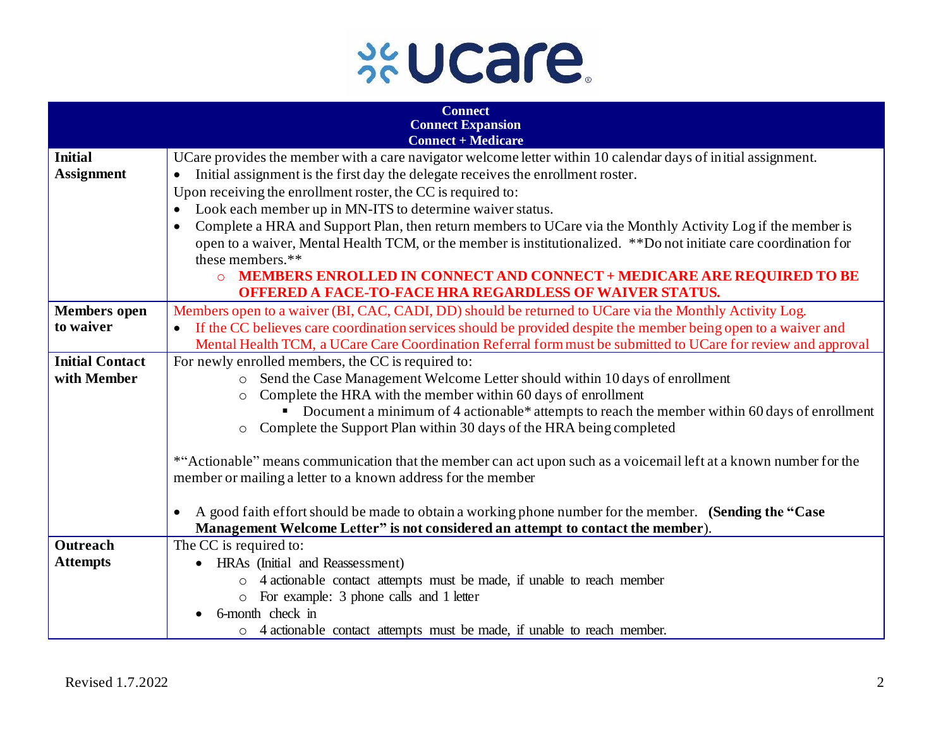

<span id="page-1-3"></span><span id="page-1-2"></span><span id="page-1-1"></span><span id="page-1-0"></span>

|                                       | <b>Connect</b><br><b>Connect Expansion</b><br><b>Connect + Medicare</b>                                                                                                                                                                                                                                                                                                                              |
|---------------------------------------|------------------------------------------------------------------------------------------------------------------------------------------------------------------------------------------------------------------------------------------------------------------------------------------------------------------------------------------------------------------------------------------------------|
| <b>Initial</b><br><b>Assignment</b>   | UCare provides the member with a care navigator welcome letter within 10 calendar days of initial assignment.<br>Initial assignment is the first day the delegate receives the enrollment roster.<br>$\bullet$<br>Upon receiving the enrollment roster, the CC is required to:                                                                                                                       |
|                                       | Look each member up in MN-ITS to determine waiver status.<br>$\bullet$<br>Complete a HRA and Support Plan, then return members to UCare via the Monthly Activity Log if the member is<br>$\bullet$<br>open to a waiver, Mental Health TCM, or the member is institutionalized. **Do not initiate care coordination for<br>these members.**                                                           |
|                                       | MEMBERS ENROLLED IN CONNECT AND CONNECT + MEDICARE ARE REQUIRED TO BE<br>$\circ$<br><b>OFFERED A FACE-TO-FACE HRA REGARDLESS OF WAIVER STATUS.</b>                                                                                                                                                                                                                                                   |
| <b>Members</b> open<br>to waiver      | Members open to a waiver (BI, CAC, CADI, DD) should be returned to UCare via the Monthly Activity Log.<br>If the CC believes care coordination services should be provided despite the member being open to a waiver and<br>Mental Health TCM, a UCare Care Coordination Referral form must be submitted to UCare for review and approval                                                            |
| <b>Initial Contact</b><br>with Member | For newly enrolled members, the CC is required to:<br>o Send the Case Management Welcome Letter should within 10 days of enrollment<br>Complete the HRA with the member within 60 days of enrollment<br>$\circ$<br>• Document a minimum of 4 actionable* attempts to reach the member within 60 days of enrollment<br>Complete the Support Plan within 30 days of the HRA being completed<br>$\circ$ |
|                                       | *"Actionable" means communication that the member can act upon such as a voicemail left at a known number for the<br>member or mailing a letter to a known address for the member                                                                                                                                                                                                                    |
|                                       | A good faith effort should be made to obtain a working phone number for the member. (Sending the "Case"<br>Management Welcome Letter" is not considered an attempt to contact the member).                                                                                                                                                                                                           |
| Outreach<br><b>Attempts</b>           | The CC is required to:<br>HRAs (Initial and Reassessment)<br>4 actionable contact attempts must be made, if unable to reach member<br>$\circ$                                                                                                                                                                                                                                                        |
|                                       | o For example: 3 phone calls and 1 letter<br>6-month check in<br>o 4 actionable contact attempts must be made, if unable to reach member.                                                                                                                                                                                                                                                            |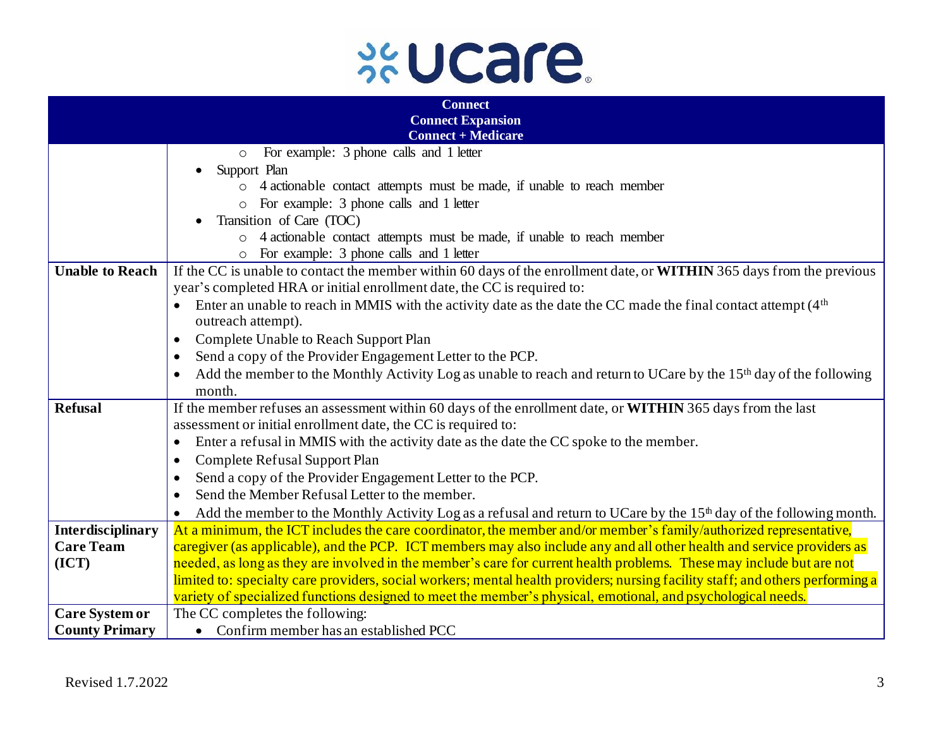## **xucare**.

<span id="page-2-3"></span><span id="page-2-2"></span><span id="page-2-1"></span><span id="page-2-0"></span>

|                          | <b>Connect</b>                                                                                                                               |
|--------------------------|----------------------------------------------------------------------------------------------------------------------------------------------|
|                          | <b>Connect Expansion</b>                                                                                                                     |
|                          | <b>Connect + Medicare</b>                                                                                                                    |
|                          | For example: 3 phone calls and 1 letter<br>$\circ$                                                                                           |
|                          | Support Plan<br>4 actionable contact attempts must be made, if unable to reach member                                                        |
|                          | o For example: 3 phone calls and 1 letter                                                                                                    |
|                          | Transition of Care (TOC)                                                                                                                     |
|                          | 4 actionable contact attempts must be made, if unable to reach member<br>$\circ$                                                             |
|                          | For example: 3 phone calls and 1 letter                                                                                                      |
| <b>Unable to Reach</b>   | If the CC is unable to contact the member within 60 days of the enrollment date, or WITHIN 365 days from the previous                        |
|                          | year's completed HRA or initial enrollment date, the CC is required to:                                                                      |
|                          | Enter an unable to reach in MMIS with the activity date as the date the CC made the final contact attempt $(4th$                             |
|                          | outreach attempt).                                                                                                                           |
|                          | Complete Unable to Reach Support Plan<br>$\bullet$                                                                                           |
|                          | Send a copy of the Provider Engagement Letter to the PCP.<br>$\bullet$                                                                       |
|                          | Add the member to the Monthly Activity Log as unable to reach and return to UCare by the 15 <sup>th</sup> day of the following<br>$\bullet$  |
|                          | month.                                                                                                                                       |
| <b>Refusal</b>           | If the member refuses an assessment within 60 days of the enrollment date, or WITHIN 365 days from the last                                  |
|                          | assessment or initial enrollment date, the CC is required to:                                                                                |
|                          | Enter a refusal in MMIS with the activity date as the date the CC spoke to the member.<br>$\bullet$                                          |
|                          | Complete Refusal Support Plan<br>$\bullet$                                                                                                   |
|                          | Send a copy of the Provider Engagement Letter to the PCP.<br>$\bullet$                                                                       |
|                          | Send the Member Refusal Letter to the member.                                                                                                |
|                          | Add the member to the Monthly Activity Log as a refusal and return to UCare by the 15 <sup>th</sup> day of the following month.<br>$\bullet$ |
| <b>Interdisciplinary</b> | At a minimum, the ICT includes the care coordinator, the member and/or member's family/authorized representative,                            |
| <b>Care Team</b>         | caregiver (as applicable), and the PCP. ICT members may also include any and all other health and service providers as                       |
| (ICT)                    | needed, as long as they are involved in the member's care for current health problems. These may include but are not                         |
|                          | limited to: specialty care providers, social workers; mental health providers; nursing facility staff; and others performing a               |
|                          | variety of specialized functions designed to meet the member's physical, emotional, and psychological needs.                                 |
| Care System or           | The CC completes the following:                                                                                                              |
| <b>County Primary</b>    | • Confirm member has an established PCC                                                                                                      |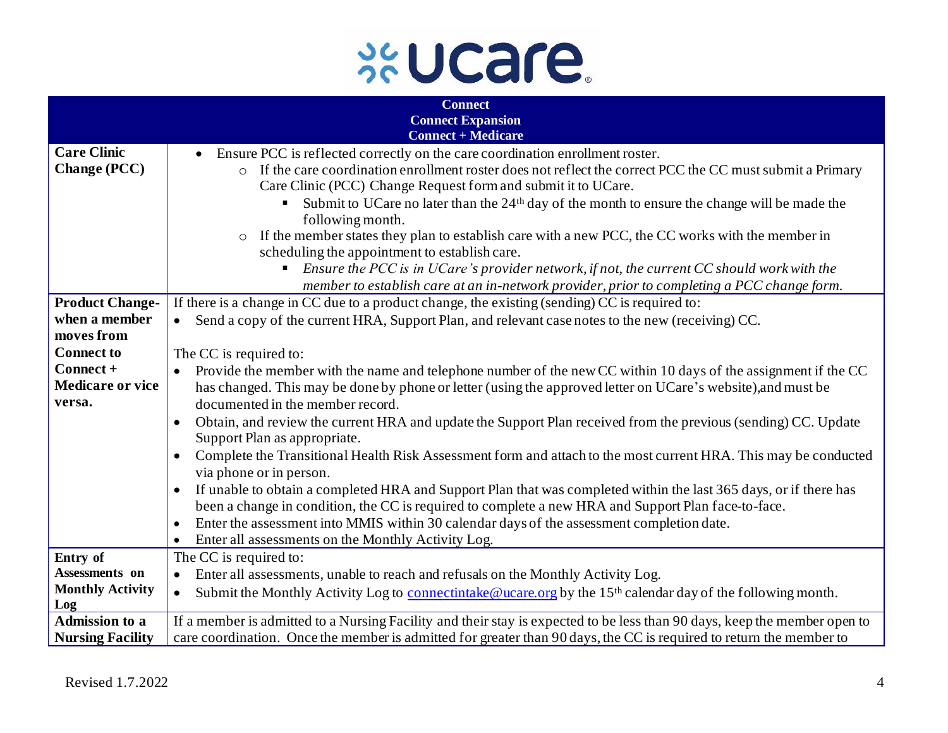

<span id="page-3-2"></span><span id="page-3-1"></span><span id="page-3-0"></span>

| <b>Connect</b><br><b>Connect Expansion</b> |                                                                                                                                                              |
|--------------------------------------------|--------------------------------------------------------------------------------------------------------------------------------------------------------------|
|                                            | <b>Connect + Medicare</b>                                                                                                                                    |
| <b>Care Clinic</b>                         | Ensure PCC is reflected correctly on the care coordination enrollment roster.                                                                                |
| <b>Change (PCC)</b>                        | If the care coordination enrollment roster does not reflect the correct PCC the CC must submit a Primary<br>$\circ$                                          |
|                                            | Care Clinic (PCC) Change Request form and submit it to UCare.                                                                                                |
|                                            | Submit to UCare no later than the 24 <sup>th</sup> day of the month to ensure the change will be made the                                                    |
|                                            | following month.                                                                                                                                             |
|                                            | If the member states they plan to establish care with a new PCC, the CC works with the member in<br>$\circ$<br>scheduling the appointment to establish care. |
|                                            | Ensure the PCC is in UCare's provider network, if not, the current CC should work with the                                                                   |
|                                            | member to establish care at an in-network provider, prior to completing a PCC change form.                                                                   |
| <b>Product Change-</b>                     | If there is a change in CC due to a product change, the existing (sending) CC is required to:                                                                |
| when a member                              | Send a copy of the current HRA, Support Plan, and relevant case notes to the new (receiving) CC.                                                             |
| moves from                                 |                                                                                                                                                              |
| <b>Connect to</b>                          | The CC is required to:                                                                                                                                       |
| Connect +                                  | Provide the member with the name and telephone number of the new CC within 10 days of the assignment if the CC                                               |
| <b>Medicare or vice</b>                    | has changed. This may be done by phone or letter (using the approved letter on UCare's website), and must be                                                 |
| versa.                                     | documented in the member record.                                                                                                                             |
|                                            | Obtain, and review the current HRA and update the Support Plan received from the previous (sending) CC. Update<br>$\bullet$                                  |
|                                            | Support Plan as appropriate.                                                                                                                                 |
|                                            | Complete the Transitional Health Risk Assessment form and attach to the most current HRA. This may be conducted<br>$\bullet$                                 |
|                                            | via phone or in person.                                                                                                                                      |
|                                            | If unable to obtain a completed HRA and Support Plan that was completed within the last 365 days, or if there has<br>$\bullet$                               |
|                                            | been a change in condition, the CC is required to complete a new HRA and Support Plan face-to-face.                                                          |
|                                            | Enter the assessment into MMIS within 30 calendar days of the assessment completion date.<br>$\bullet$                                                       |
|                                            | Enter all assessments on the Monthly Activity Log.<br>$\bullet$                                                                                              |
| Entry of                                   | The CC is required to:                                                                                                                                       |
| Assessments on                             | Enter all assessments, unable to reach and refusals on the Monthly Activity Log.<br>$\bullet$                                                                |
| <b>Monthly Activity</b><br>Log             | Submit the Monthly Activity Log to connectintake@ucare.org by the 15 <sup>th</sup> calendar day of the following month.<br>$\bullet$                         |
| <b>Admission to a</b>                      | If a member is admitted to a Nursing Facility and their stay is expected to be less than 90 days, keep the member open to                                    |
| <b>Nursing Facility</b>                    | care coordination. Once the member is admitted for greater than 90 days, the CC is required to return the member to                                          |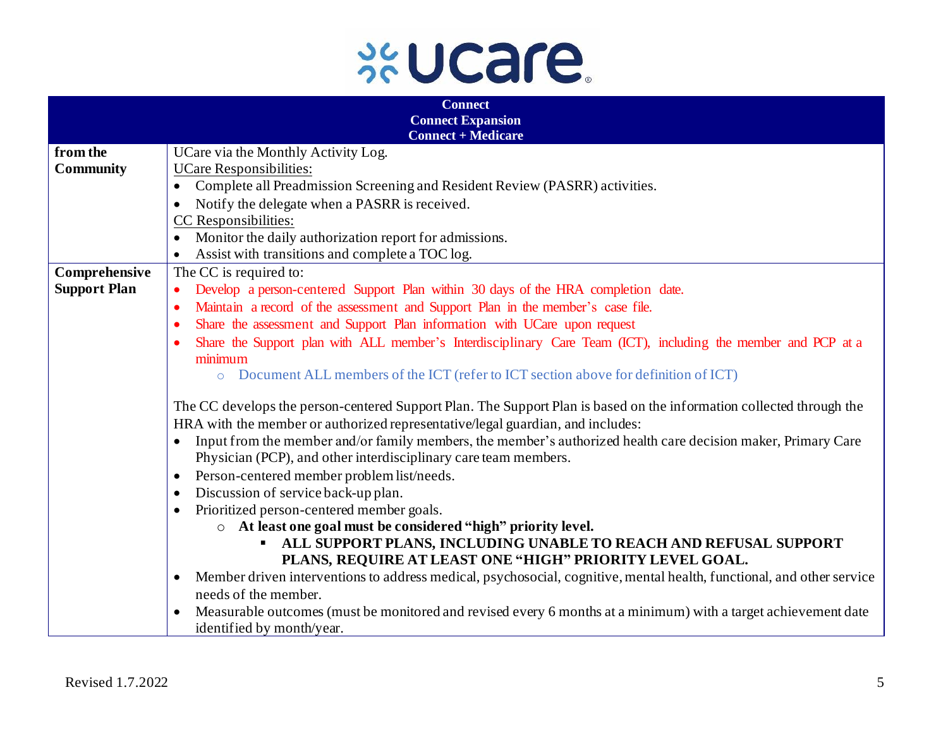## **xucare**.

<span id="page-4-0"></span>

| <b>Connect</b>      |                                                                                                                                    |
|---------------------|------------------------------------------------------------------------------------------------------------------------------------|
|                     | <b>Connect Expansion</b>                                                                                                           |
|                     | <b>Connect + Medicare</b>                                                                                                          |
| from the            | UCare via the Monthly Activity Log.                                                                                                |
| <b>Community</b>    | <b>UCare Responsibilities:</b>                                                                                                     |
|                     | Complete all Preadmission Screening and Resident Review (PASRR) activities.<br>$\bullet$                                           |
|                     | Notify the delegate when a PASRR is received.                                                                                      |
|                     | CC Responsibilities:                                                                                                               |
|                     | • Monitor the daily authorization report for admissions.                                                                           |
|                     | Assist with transitions and complete a TOC log.                                                                                    |
| Comprehensive       | The CC is required to:                                                                                                             |
| <b>Support Plan</b> | Develop a person-centered Support Plan within 30 days of the HRA completion date.<br>$\bullet$                                     |
|                     | Maintain a record of the assessment and Support Plan in the member's case file.                                                    |
|                     | Share the assessment and Support Plan information with UCare upon request<br>$\bullet$                                             |
|                     | Share the Support plan with ALL member's Interdisciplinary Care Team (ICT), including the member and PCP at a                      |
|                     | minimum                                                                                                                            |
|                     | o Document ALL members of the ICT (refer to ICT section above for definition of ICT)                                               |
|                     | The CC develops the person-centered Support Plan. The Support Plan is based on the information collected through the               |
|                     | HRA with the member or authorized representative/legal guardian, and includes:                                                     |
|                     | Input from the member and/or family members, the member's authorized health care decision maker, Primary Care<br>$\bullet$         |
|                     | Physician (PCP), and other interdisciplinary care team members.                                                                    |
|                     | Person-centered member problem list/needs.<br>$\bullet$                                                                            |
|                     | Discussion of service back-up plan.<br>$\bullet$                                                                                   |
|                     | Prioritized person-centered member goals.<br>$\bullet$                                                                             |
|                     | At least one goal must be considered "high" priority level.<br>$\circ$                                                             |
|                     | ALL SUPPORT PLANS, INCLUDING UNABLE TO REACH AND REFUSAL SUPPORT                                                                   |
|                     | PLANS, REQUIRE AT LEAST ONE "HIGH" PRIORITY LEVEL GOAL.                                                                            |
|                     | Member driven interventions to address medical, psychosocial, cognitive, mental health, functional, and other service<br>$\bullet$ |
|                     | needs of the member.                                                                                                               |
|                     | Measurable outcomes (must be monitored and revised every 6 months at a minimum) with a target achievement date<br>$\bullet$        |
|                     | identified by month/year.                                                                                                          |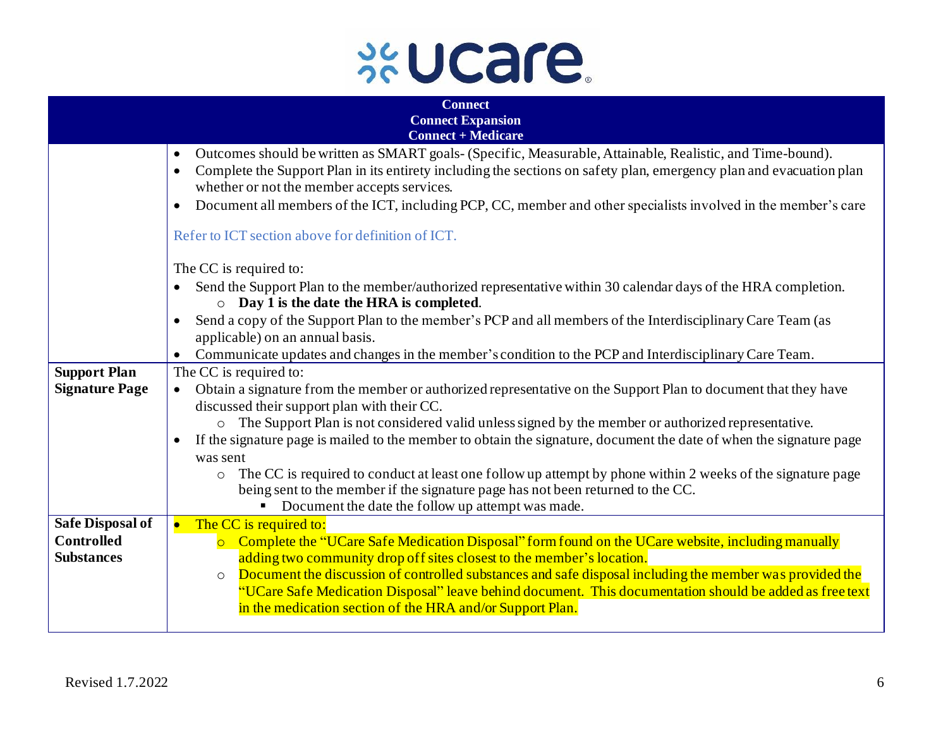

<span id="page-5-1"></span><span id="page-5-0"></span>

| <b>Connect</b>                               |                                                                                                                                                                                                                                                                                                                                                                                                                                                                                                                                                                                                                                                                                                                                                                                                                                                                                                                                                                                                                                                                                                                                                                                                                                                                                                                                                                                                                                                                                                                                                                                                                                               |
|----------------------------------------------|-----------------------------------------------------------------------------------------------------------------------------------------------------------------------------------------------------------------------------------------------------------------------------------------------------------------------------------------------------------------------------------------------------------------------------------------------------------------------------------------------------------------------------------------------------------------------------------------------------------------------------------------------------------------------------------------------------------------------------------------------------------------------------------------------------------------------------------------------------------------------------------------------------------------------------------------------------------------------------------------------------------------------------------------------------------------------------------------------------------------------------------------------------------------------------------------------------------------------------------------------------------------------------------------------------------------------------------------------------------------------------------------------------------------------------------------------------------------------------------------------------------------------------------------------------------------------------------------------------------------------------------------------|
|                                              | <b>Connect Expansion</b><br><b>Connect + Medicare</b>                                                                                                                                                                                                                                                                                                                                                                                                                                                                                                                                                                                                                                                                                                                                                                                                                                                                                                                                                                                                                                                                                                                                                                                                                                                                                                                                                                                                                                                                                                                                                                                         |
| <b>Support Plan</b><br><b>Signature Page</b> | Outcomes should be written as SMART goals- (Specific, Measurable, Attainable, Realistic, and Time-bound).<br>$\bullet$<br>Complete the Support Plan in its entirety including the sections on safety plan, emergency plan and evacuation plan<br>$\bullet$<br>whether or not the member accepts services.<br>Document all members of the ICT, including PCP, CC, member and other specialists involved in the member's care<br>$\bullet$<br>Refer to ICT section above for definition of ICT.<br>The CC is required to:<br>Send the Support Plan to the member/authorized representative within 30 calendar days of the HRA completion.<br>$\bullet$<br>$\circ$ Day 1 is the date the HRA is completed.<br>Send a copy of the Support Plan to the member's PCP and all members of the Interdisciplinary Care Team (as<br>$\bullet$<br>applicable) on an annual basis.<br>Communicate updates and changes in the member's condition to the PCP and Interdisciplinary Care Team.<br>The CC is required to:<br>Obtain a signature from the member or authorized representative on the Support Plan to document that they have<br>discussed their support plan with their CC.<br>o The Support Plan is not considered valid unless signed by the member or authorized representative.<br>If the signature page is mailed to the member to obtain the signature, document the date of when the signature page<br>$\bullet$<br>was sent<br>The CC is required to conduct at least one follow up attempt by phone within 2 weeks of the signature page<br>$\circ$<br>being sent to the member if the signature page has not been returned to the CC. |
| <b>Safe Disposal of</b>                      | • Document the date the follow up attempt was made.<br>The CC is required to:                                                                                                                                                                                                                                                                                                                                                                                                                                                                                                                                                                                                                                                                                                                                                                                                                                                                                                                                                                                                                                                                                                                                                                                                                                                                                                                                                                                                                                                                                                                                                                 |
| <b>Controlled</b>                            | Complete the "UCare Safe Medication Disposal" form found on the UCare website, including manually<br>$\overline{\bigcirc}$                                                                                                                                                                                                                                                                                                                                                                                                                                                                                                                                                                                                                                                                                                                                                                                                                                                                                                                                                                                                                                                                                                                                                                                                                                                                                                                                                                                                                                                                                                                    |
| <b>Substances</b>                            | adding two community drop off sites closest to the member's location.<br>Document the discussion of controlled substances and safe disposal including the member was provided the<br>$\circ$                                                                                                                                                                                                                                                                                                                                                                                                                                                                                                                                                                                                                                                                                                                                                                                                                                                                                                                                                                                                                                                                                                                                                                                                                                                                                                                                                                                                                                                  |
|                                              | "UCare Safe Medication Disposal" leave behind document. This documentation should be added as free text<br>in the medication section of the HRA and/or Support Plan.                                                                                                                                                                                                                                                                                                                                                                                                                                                                                                                                                                                                                                                                                                                                                                                                                                                                                                                                                                                                                                                                                                                                                                                                                                                                                                                                                                                                                                                                          |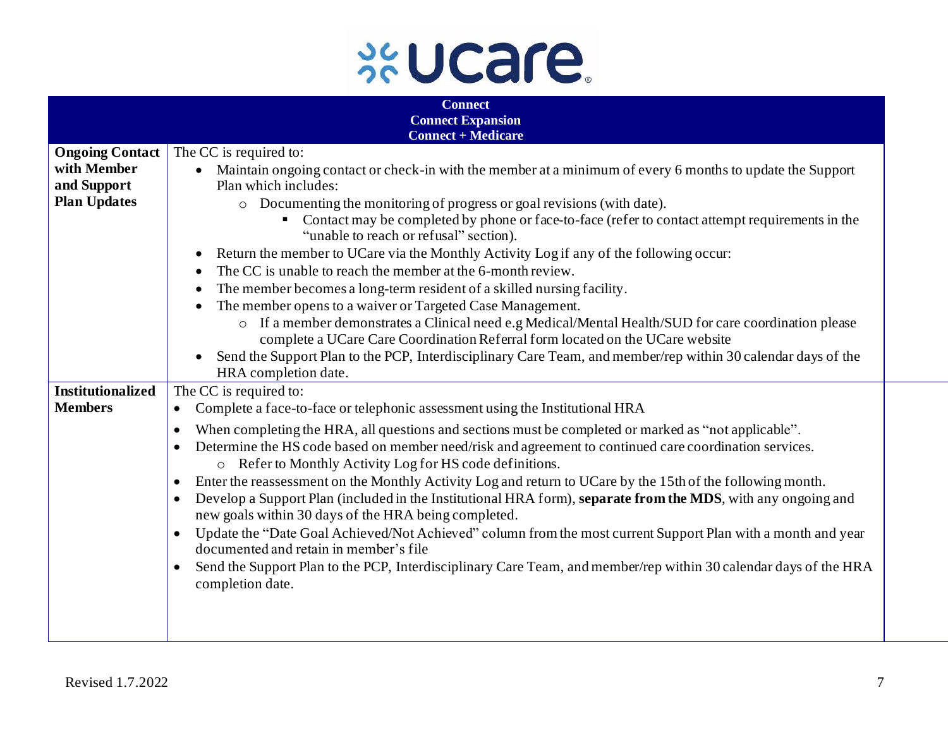

<span id="page-6-1"></span><span id="page-6-0"></span>

| <b>Connect</b>           |                                                                                                                                                                                                 |  |
|--------------------------|-------------------------------------------------------------------------------------------------------------------------------------------------------------------------------------------------|--|
|                          | <b>Connect Expansion</b>                                                                                                                                                                        |  |
| <b>Ongoing Contact</b>   | <b>Connect + Medicare</b><br>The CC is required to:                                                                                                                                             |  |
| with Member              | Maintain ongoing contact or check-in with the member at a minimum of every 6 months to update the Support<br>$\bullet$                                                                          |  |
| and Support              | Plan which includes:                                                                                                                                                                            |  |
| <b>Plan Updates</b>      | o Documenting the monitoring of progress or goal revisions (with date).                                                                                                                         |  |
|                          | Contact may be completed by phone or face-to-face (refer to contact attempt requirements in the<br>"unable to reach or refusal" section).                                                       |  |
|                          | Return the member to UCare via the Monthly Activity Log if any of the following occur:<br>$\bullet$                                                                                             |  |
|                          | The CC is unable to reach the member at the 6-month review.<br>$\bullet$                                                                                                                        |  |
|                          | The member becomes a long-term resident of a skilled nursing facility.<br>$\bullet$                                                                                                             |  |
|                          | The member opens to a waiver or Targeted Case Management.<br>$\bullet$                                                                                                                          |  |
|                          | If a member demonstrates a Clinical need e.g Medical/Mental Health/SUD for care coordination please<br>$\circ$<br>complete a UCare Care Coordination Referral form located on the UCare website |  |
|                          | Send the Support Plan to the PCP, Interdisciplinary Care Team, and member/rep within 30 calendar days of the<br>HRA completion date.                                                            |  |
| <b>Institutionalized</b> | The CC is required to:                                                                                                                                                                          |  |
| <b>Members</b>           | Complete a face-to-face or telephonic assessment using the Institutional HRA<br>$\bullet$                                                                                                       |  |
|                          | When completing the HRA, all questions and sections must be completed or marked as "not applicable".<br>$\bullet$                                                                               |  |
|                          | Determine the HS code based on member need/risk and agreement to continued care coordination services.<br>$\bullet$<br>o Refer to Monthly Activity Log for HS code definitions.                 |  |
|                          | Enter the reassessment on the Monthly Activity Log and return to UCare by the 15th of the following month.<br>$\bullet$                                                                         |  |
|                          | Develop a Support Plan (included in the Institutional HRA form), separate from the MDS, with any ongoing and<br>$\bullet$<br>new goals within 30 days of the HRA being completed.               |  |
|                          | Update the "Date Goal Achieved/Not Achieved" column from the most current Support Plan with a month and year<br>$\bullet$                                                                       |  |
|                          | documented and retain in member's file                                                                                                                                                          |  |
|                          | Send the Support Plan to the PCP, Interdisciplinary Care Team, and member/rep within 30 calendar days of the HRA<br>$\bullet$                                                                   |  |
|                          | completion date.                                                                                                                                                                                |  |
|                          |                                                                                                                                                                                                 |  |
|                          |                                                                                                                                                                                                 |  |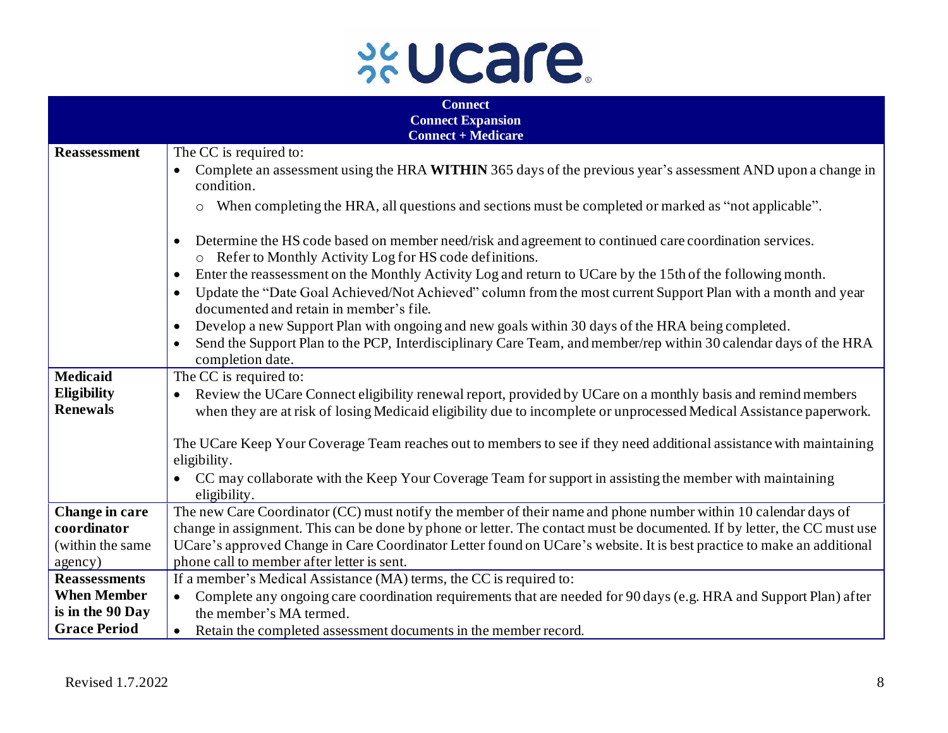

<span id="page-7-3"></span><span id="page-7-2"></span><span id="page-7-1"></span><span id="page-7-0"></span>

| <b>Connect</b>           |                                                                                                                                                                      |  |
|--------------------------|----------------------------------------------------------------------------------------------------------------------------------------------------------------------|--|
| <b>Connect Expansion</b> |                                                                                                                                                                      |  |
|                          | <b>Connect + Medicare</b>                                                                                                                                            |  |
| <b>Reassessment</b>      | The CC is required to:                                                                                                                                               |  |
|                          | Complete an assessment using the HRA WITHIN 365 days of the previous year's assessment AND upon a change in<br>$\bullet$                                             |  |
|                          | condition.                                                                                                                                                           |  |
|                          | When completing the HRA, all questions and sections must be completed or marked as "not applicable".<br>O                                                            |  |
|                          | Determine the HS code based on member need/risk and agreement to continued care coordination services.<br>$\bullet$                                                  |  |
|                          | Refer to Monthly Activity Log for HS code definitions.<br>$\circ$                                                                                                    |  |
|                          | Enter the reassessment on the Monthly Activity Log and return to UCare by the 15th of the following month.<br>$\bullet$                                              |  |
|                          | Update the "Date Goal Achieved/Not Achieved" column from the most current Support Plan with a month and year<br>$\bullet$<br>documented and retain in member's file. |  |
|                          | Develop a new Support Plan with ongoing and new goals within 30 days of the HRA being completed.<br>$\bullet$                                                        |  |
|                          | Send the Support Plan to the PCP, Interdisciplinary Care Team, and member/rep within 30 calendar days of the HRA<br>$\bullet$                                        |  |
|                          | completion date.                                                                                                                                                     |  |
| <b>Medicaid</b>          | The CC is required to:                                                                                                                                               |  |
| <b>Eligibility</b>       | Review the UCare Connect eligibility renewal report, provided by UCare on a monthly basis and remind members                                                         |  |
| <b>Renewals</b>          | when they are at risk of losing Medicaid eligibility due to incomplete or unprocessed Medical Assistance paperwork.                                                  |  |
|                          | The UCare Keep Your Coverage Team reaches out to members to see if they need additional assistance with maintaining                                                  |  |
|                          | eligibility.                                                                                                                                                         |  |
|                          | CC may collaborate with the Keep Your Coverage Team for support in assisting the member with maintaining<br>$\bullet$                                                |  |
|                          | eligibility.                                                                                                                                                         |  |
| Change in care           | The new Care Coordinator (CC) must notify the member of their name and phone number within 10 calendar days of                                                       |  |
| coordinator              | change in assignment. This can be done by phone or letter. The contact must be documented. If by letter, the CC must use                                             |  |
| (within the same         | UCare's approved Change in Care Coordinator Letter found on UCare's website. It is best practice to make an additional                                               |  |
| agency)                  | phone call to member after letter is sent.                                                                                                                           |  |
| <b>Reassessments</b>     | If a member's Medical Assistance (MA) terms, the CC is required to:                                                                                                  |  |
| <b>When Member</b>       | Complete any ongoing care coordination requirements that are needed for 90 days (e.g. HRA and Support Plan) after                                                    |  |
| is in the 90 Day         | the member's MA termed.                                                                                                                                              |  |
| <b>Grace Period</b>      | Retain the completed assessment documents in the member record.                                                                                                      |  |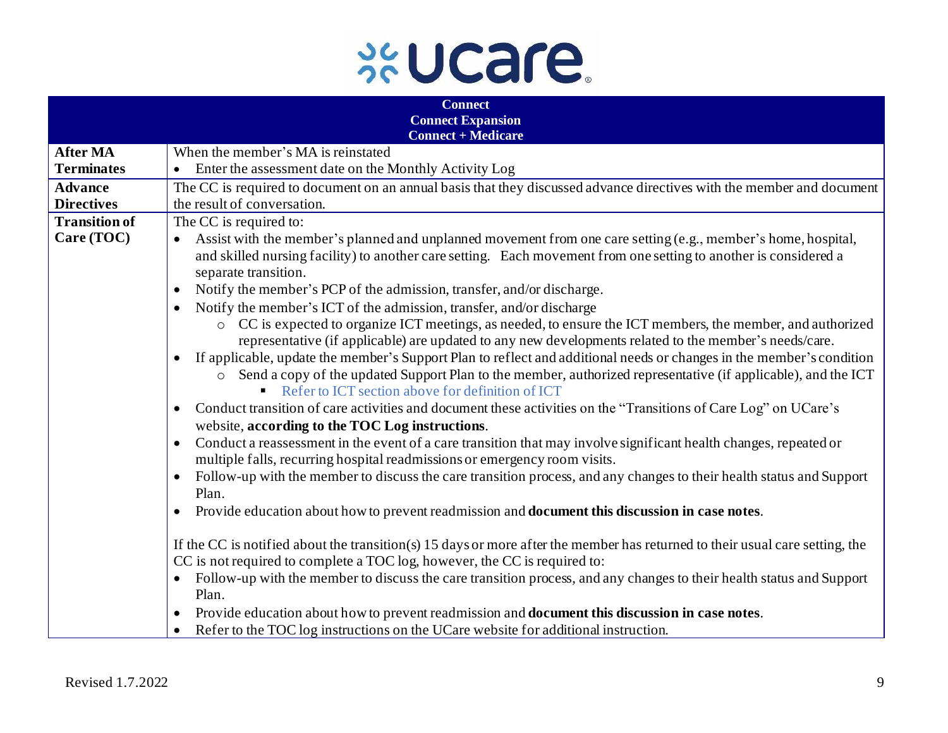# **xucare**.

<span id="page-8-1"></span><span id="page-8-0"></span>

|                      | <b>Connect</b><br><b>Connect Expansion</b>                                                                                                                                                                                                                                                           |
|----------------------|------------------------------------------------------------------------------------------------------------------------------------------------------------------------------------------------------------------------------------------------------------------------------------------------------|
| <b>After MA</b>      | <b>Connect + Medicare</b><br>When the member's MA is reinstated                                                                                                                                                                                                                                      |
| <b>Terminates</b>    | Enter the assessment date on the Monthly Activity Log                                                                                                                                                                                                                                                |
| <b>Advance</b>       | The CC is required to document on an annual basis that they discussed advance directives with the member and document                                                                                                                                                                                |
| <b>Directives</b>    | the result of conversation.                                                                                                                                                                                                                                                                          |
| <b>Transition of</b> | The CC is required to:                                                                                                                                                                                                                                                                               |
| Care (TOC)           | Assist with the member's planned and unplanned movement from one care setting (e.g., member's home, hospital,<br>and skilled nursing facility) to another care setting. Each movement from one setting to another is considered a<br>separate transition.                                            |
|                      | Notify the member's PCP of the admission, transfer, and/or discharge.<br>$\bullet$                                                                                                                                                                                                                   |
|                      | Notify the member's ICT of the admission, transfer, and/or discharge                                                                                                                                                                                                                                 |
|                      | o CC is expected to organize ICT meetings, as needed, to ensure the ICT members, the member, and authorized<br>representative (if applicable) are updated to any new developments related to the member's needs/care.                                                                                |
|                      | If applicable, update the member's Support Plan to reflect and additional needs or changes in the member's condition<br>Send a copy of the updated Support Plan to the member, authorized representative (if applicable), and the ICT<br>$\circ$<br>Refer to ICT section above for definition of ICT |
|                      | Conduct transition of care activities and document these activities on the "Transitions of Care Log" on UCare's<br>$\bullet$<br>website, according to the TOC Log instructions.                                                                                                                      |
|                      | Conduct a reassessment in the event of a care transition that may involve significant health changes, repeated or<br>$\bullet$<br>multiple falls, recurring hospital readmissions or emergency room visits.                                                                                          |
|                      | Follow-up with the member to discuss the care transition process, and any changes to their health status and Support<br>$\bullet$<br>Plan.                                                                                                                                                           |
|                      | Provide education about how to prevent readmission and <b>document this discussion in case notes</b> .<br>$\bullet$                                                                                                                                                                                  |
|                      | If the CC is notified about the transition(s) 15 days or more after the member has returned to their usual care setting, the<br>CC is not required to complete a TOC log, however, the CC is required to:                                                                                            |
|                      | Follow-up with the member to discuss the care transition process, and any changes to their health status and Support<br>Plan.                                                                                                                                                                        |
|                      | Provide education about how to prevent readmission and <b>document this discussion in case notes</b> .                                                                                                                                                                                               |
|                      | Refer to the TOC log instructions on the UCare website for additional instruction.                                                                                                                                                                                                                   |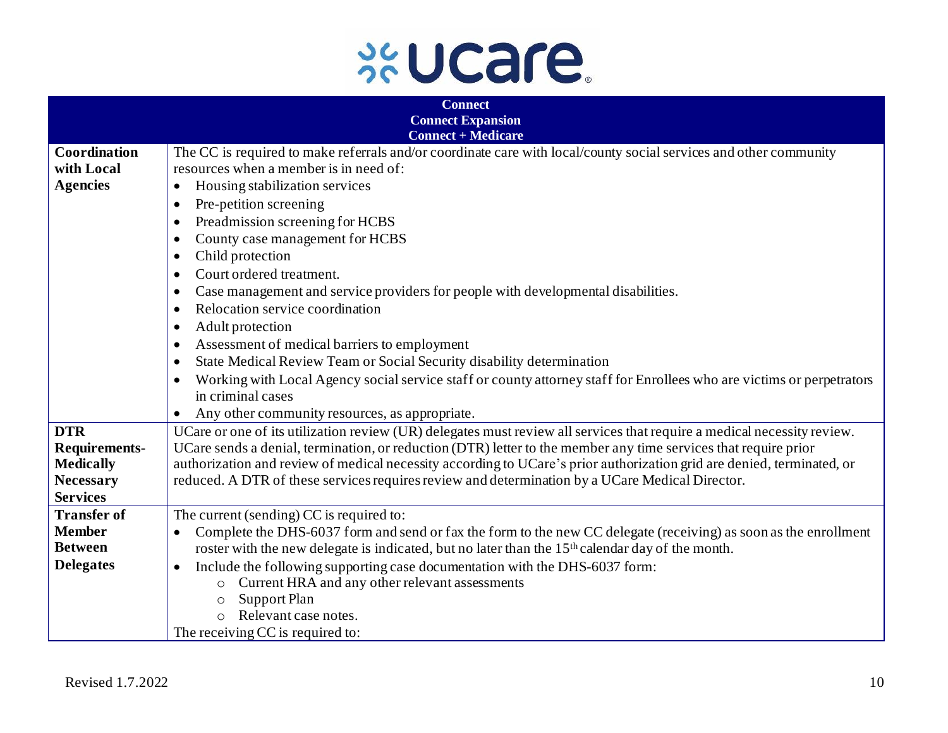

<span id="page-9-2"></span><span id="page-9-1"></span><span id="page-9-0"></span>

|                    | <b>Connect</b>                                                                                                                     |
|--------------------|------------------------------------------------------------------------------------------------------------------------------------|
|                    | <b>Connect Expansion</b>                                                                                                           |
|                    | <b>Connect + Medicare</b>                                                                                                          |
| Coordination       | The CC is required to make referrals and/or coordinate care with local/county social services and other community                  |
| with Local         | resources when a member is in need of:                                                                                             |
| <b>Agencies</b>    | Housing stabilization services<br>$\bullet$                                                                                        |
|                    | Pre-petition screening<br>$\bullet$                                                                                                |
|                    | Preadmission screening for HCBS<br>$\bullet$                                                                                       |
|                    | County case management for HCBS<br>$\bullet$                                                                                       |
|                    | Child protection<br>$\bullet$                                                                                                      |
|                    | Court ordered treatment.<br>$\bullet$                                                                                              |
|                    | Case management and service providers for people with developmental disabilities.<br>$\bullet$                                     |
|                    | Relocation service coordination<br>$\bullet$                                                                                       |
|                    | Adult protection<br>$\bullet$                                                                                                      |
|                    | Assessment of medical barriers to employment<br>$\bullet$                                                                          |
|                    | State Medical Review Team or Social Security disability determination<br>$\bullet$                                                 |
|                    | Working with Local Agency social service staff or county attorney staff for Enrollees who are victims or perpetrators<br>$\bullet$ |
|                    | in criminal cases                                                                                                                  |
|                    | Any other community resources, as appropriate.                                                                                     |
| <b>DTR</b>         | UCare or one of its utilization review (UR) delegates must review all services that require a medical necessity review.            |
| Requirements-      | UCare sends a denial, termination, or reduction (DTR) letter to the member any time services that require prior                    |
| <b>Medically</b>   | authorization and review of medical necessity according to UCare's prior authorization grid are denied, terminated, or             |
| <b>Necessary</b>   | reduced. A DTR of these services requires review and determination by a UCare Medical Director.                                    |
| <b>Services</b>    |                                                                                                                                    |
| <b>Transfer of</b> | The current (sending) CC is required to:                                                                                           |
| <b>Member</b>      | Complete the DHS-6037 form and send or fax the form to the new CC delegate (receiving) as soon as the enrollment<br>$\bullet$      |
| <b>Between</b>     | roster with the new delegate is indicated, but no later than the 15 <sup>th</sup> calendar day of the month.                       |
| <b>Delegates</b>   | Include the following supporting case documentation with the DHS-6037 form:<br>$\bullet$                                           |
|                    | Current HRA and any other relevant assessments<br>$\circ$                                                                          |
|                    | <b>Support Plan</b><br>$\circ$                                                                                                     |
|                    | Relevant case notes.<br>$\Omega$                                                                                                   |
|                    | The receiving CC is required to:                                                                                                   |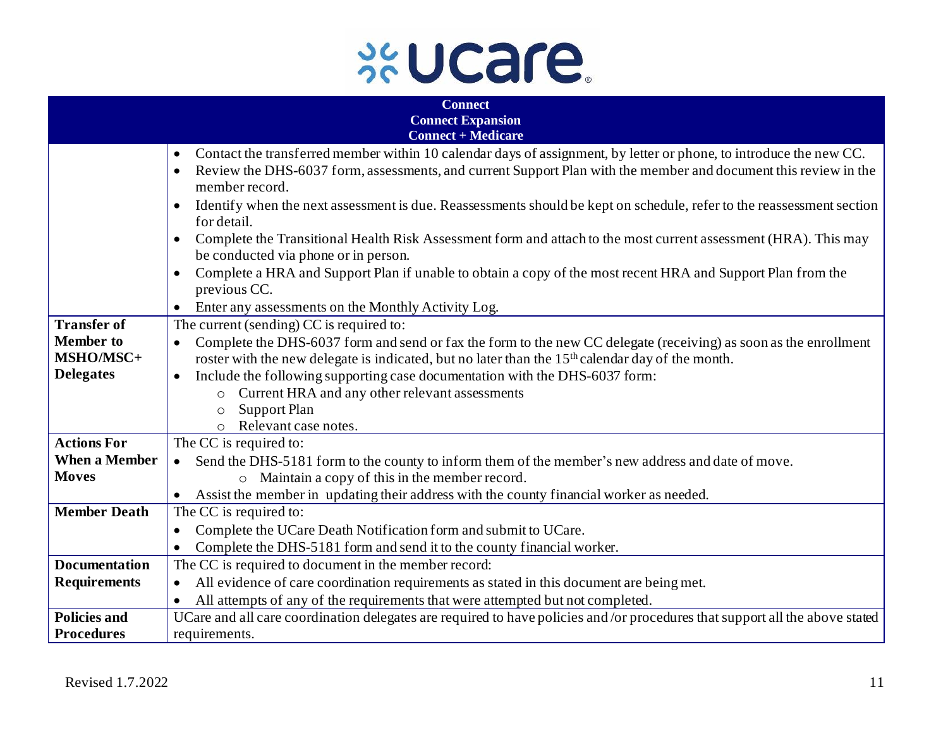

<span id="page-10-4"></span><span id="page-10-3"></span><span id="page-10-2"></span><span id="page-10-1"></span><span id="page-10-0"></span>

| <b>Connect</b>           |                                                                                                                                 |
|--------------------------|---------------------------------------------------------------------------------------------------------------------------------|
| <b>Connect Expansion</b> |                                                                                                                                 |
|                          | <b>Connect + Medicare</b>                                                                                                       |
|                          | Contact the transferred member within 10 calendar days of assignment, by letter or phone, to introduce the new CC.<br>$\bullet$ |
|                          | Review the DHS-6037 form, assessments, and current Support Plan with the member and document this review in the<br>$\bullet$    |
|                          | member record.                                                                                                                  |
|                          | Identify when the next assessment is due. Reassessments should be kept on schedule, refer to the reassessment section           |
|                          | for detail.                                                                                                                     |
|                          | Complete the Transitional Health Risk Assessment form and attach to the most current assessment (HRA). This may<br>$\bullet$    |
|                          | be conducted via phone or in person.                                                                                            |
|                          | Complete a HRA and Support Plan if unable to obtain a copy of the most recent HRA and Support Plan from the<br>$\bullet$        |
|                          | previous CC.                                                                                                                    |
|                          | Enter any assessments on the Monthly Activity Log.<br>$\bullet$                                                                 |
| <b>Transfer of</b>       | The current (sending) CC is required to:                                                                                        |
| <b>Member to</b>         | Complete the DHS-6037 form and send or fax the form to the new CC delegate (receiving) as soon as the enrollment<br>$\bullet$   |
| MSHO/MSC+                | roster with the new delegate is indicated, but no later than the 15 <sup>th</sup> calendar day of the month.                    |
| <b>Delegates</b>         | Include the following supporting case documentation with the DHS-6037 form:<br>$\bullet$                                        |
|                          | Current HRA and any other relevant assessments<br>$\circ$                                                                       |
|                          | <b>Support Plan</b><br>$\circ$                                                                                                  |
|                          | Relevant case notes.<br>$\circ$                                                                                                 |
| <b>Actions For</b>       | The CC is required to:                                                                                                          |
| <b>When a Member</b>     | Send the DHS-5181 form to the county to inform them of the member's new address and date of move.                               |
| <b>Moves</b>             | Maintain a copy of this in the member record.<br>$\circ$                                                                        |
|                          | • Assist the member in updating their address with the county financial worker as needed.                                       |
| <b>Member Death</b>      | The CC is required to:                                                                                                          |
|                          | Complete the UCare Death Notification form and submit to UCare.<br>$\bullet$                                                    |
|                          | Complete the DHS-5181 form and send it to the county financial worker.<br>$\bullet$                                             |
| <b>Documentation</b>     | The CC is required to document in the member record:                                                                            |
| <b>Requirements</b>      | All evidence of care coordination requirements as stated in this document are being met.<br>$\bullet$                           |
|                          | All attempts of any of the requirements that were attempted but not completed.                                                  |
| <b>Policies and</b>      | UCare and all care coordination delegates are required to have policies and/or procedures that support all the above stated     |
| <b>Procedures</b>        | requirements.                                                                                                                   |